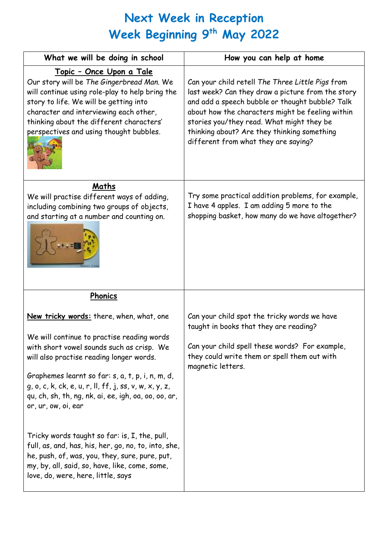## **Next Week in Reception Week Beginning 9 th May 2022** I

| What we will be doing in school                                                                                                                                                                                                                                                                                                                                              | How you can help at home                                                                                                                                                                                                                                                                                                                         |
|------------------------------------------------------------------------------------------------------------------------------------------------------------------------------------------------------------------------------------------------------------------------------------------------------------------------------------------------------------------------------|--------------------------------------------------------------------------------------------------------------------------------------------------------------------------------------------------------------------------------------------------------------------------------------------------------------------------------------------------|
| <u> Topic - Once Upon a Tale</u><br>Our story will be The Gingerbread Man. We<br>will continue using role-play to help bring the<br>story to life. We will be getting into<br>character and interviewing each other,<br>thinking about the different characters'<br>perspectives and using thought bubbles.                                                                  | Can your child retell The Three Little Pigs from<br>last week? Can they draw a picture from the story<br>and add a speech bubble or thought bubble? Talk<br>about how the characters might be feeling within<br>stories you/they read. What might they be<br>thinking about? Are they thinking something<br>different from what they are saying? |
| Maths<br>We will practise different ways of adding,<br>including combining two groups of objects,<br>and starting at a number and counting on.                                                                                                                                                                                                                               | Try some practical addition problems, for example,<br>I have 4 apples. I am adding 5 more to the<br>shopping basket, how many do we have altogether?                                                                                                                                                                                             |
| Phonics                                                                                                                                                                                                                                                                                                                                                                      |                                                                                                                                                                                                                                                                                                                                                  |
| New tricky words: there, when, what, one<br>We will continue to practise reading words<br>with short vowel sounds such as crisp. We<br>will also practise reading longer words.<br>Graphemes learnt so far: s, a, t, p, i, n, m, d,<br>g, o, c, k, ck, e, u, r, ll, ff, j, ss, v, w, x, y, z,<br>qu, ch, sh, th, ng, nk, ai, ee, igh, oa, oo, oo, ar,<br>or, ur, ow, oi, ear | Can your child spot the tricky words we have<br>taught in books that they are reading?<br>Can your child spell these words? For example,<br>they could write them or spell them out with<br>magnetic letters.                                                                                                                                    |
| Tricky words taught so far: is, I, the, pull,<br>full, as, and, has, his, her, go, no, to, into, she,<br>he, push, of, was, you, they, sure, pure, put,<br>my, by, all, said, so, have, like, come, some,<br>love, do, were, here, little, says                                                                                                                              |                                                                                                                                                                                                                                                                                                                                                  |